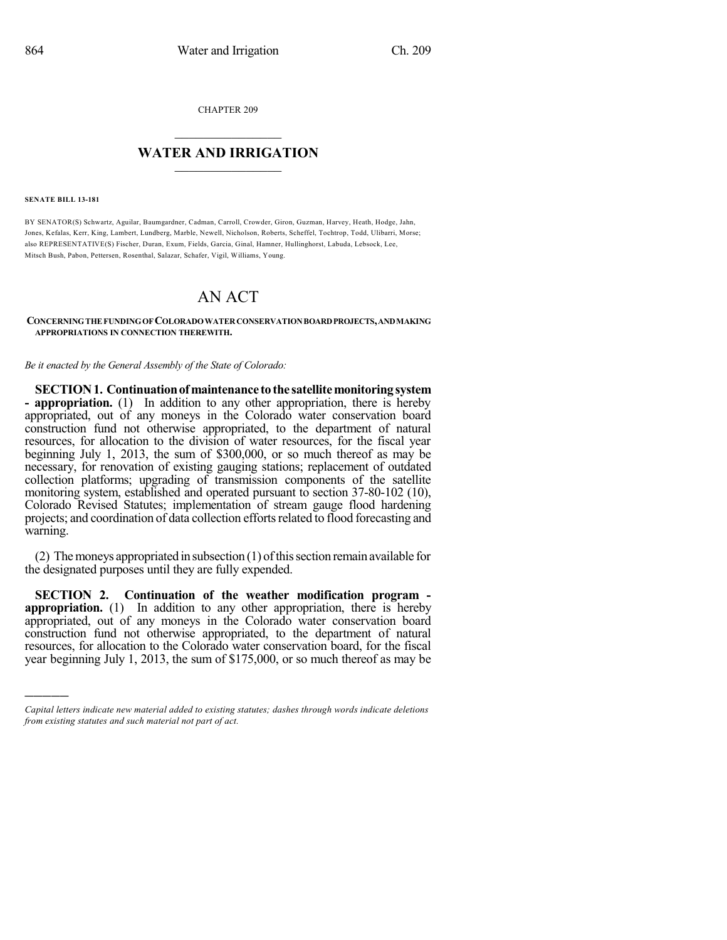CHAPTER 209

# $\mathcal{L}_\text{max}$  . The set of the set of the set of the set of the set of the set of the set of the set of the set of the set of the set of the set of the set of the set of the set of the set of the set of the set of the set **WATER AND IRRIGATION**  $\_$   $\_$

#### **SENATE BILL 13-181**

)))))

BY SENATOR(S) Schwartz, Aguilar, Baumgardner, Cadman, Carroll, Crowder, Giron, Guzman, Harvey, Heath, Hodge, Jahn, Jones, Kefalas, Kerr, King, Lambert, Lundberg, Marble, Newell, Nicholson, Roberts, Scheffel, Tochtrop, Todd, Ulibarri, Morse; also REPRESENTATIVE(S) Fischer, Duran, Exum, Fields, Garcia, Ginal, Hamner, Hullinghorst, Labuda, Lebsock, Lee, Mitsch Bush, Pabon, Pettersen, Rosenthal, Salazar, Schafer, Vigil, Williams, Young.

## AN ACT

### **CONCERNINGTHE FUNDINGOF COLORADOWATERCONSERVATIONBOARDPROJECTS,ANDMAKING APPROPRIATIONS IN CONNECTION THEREWITH.**

*Be it enacted by the General Assembly of the State of Colorado:*

**SECTION1. Continuationofmaintenance tothe satellitemonitoringsystem - appropriation.** (1) In addition to any other appropriation, there is hereby appropriated, out of any moneys in the Colorado water conservation board construction fund not otherwise appropriated, to the department of natural resources, for allocation to the division of water resources, for the fiscal year beginning July 1, 2013, the sum of \$300,000, or so much thereof as may be necessary, for renovation of existing gauging stations; replacement of outdated collection platforms; upgrading of transmission components of the satellite monitoring system, established and operated pursuant to section 37-80-102 (10), Colorado Revised Statutes; implementation of stream gauge flood hardening projects; and coordination of data collection efforts related to flood forecasting and warning.

(2) The moneys appropriated in subsection  $(1)$  of this section remain available for the designated purposes until they are fully expended.

**SECTION 2. Continuation of the weather modification program appropriation.** (1) In addition to any other appropriation, there is hereby appropriated, out of any moneys in the Colorado water conservation board construction fund not otherwise appropriated, to the department of natural resources, for allocation to the Colorado water conservation board, for the fiscal year beginning July 1, 2013, the sum of \$175,000, or so much thereof as may be

*Capital letters indicate new material added to existing statutes; dashes through words indicate deletions from existing statutes and such material not part of act.*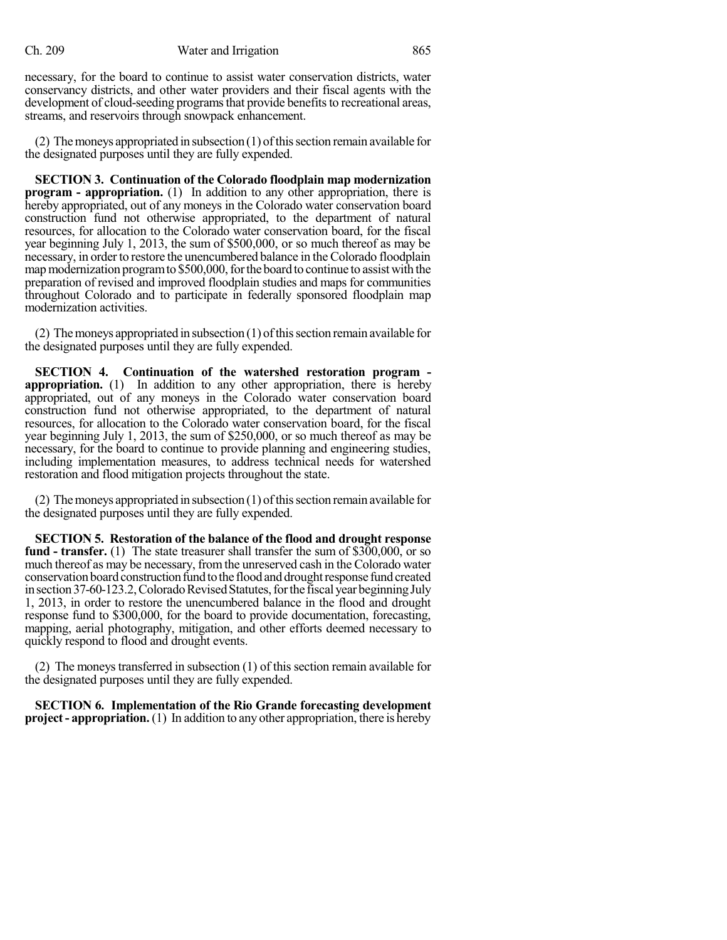necessary, for the board to continue to assist water conservation districts, water conservancy districts, and other water providers and their fiscal agents with the development of cloud-seeding programs that provide benefits to recreational areas, streams, and reservoirs through snowpack enhancement.

(2) The moneys appropriated in subsection  $(1)$  of this section remain available for the designated purposes until they are fully expended.

**SECTION 3. Continuation of the Colorado floodplain map modernization program - appropriation.** (1) In addition to any other appropriation, there is hereby appropriated, out of any moneys in the Colorado water conservation board construction fund not otherwise appropriated, to the department of natural resources, for allocation to the Colorado water conservation board, for the fiscal year beginning July 1, 2013, the sum of \$500,000, or so much thereof as may be necessary, in order to restore the unencumbered balance in the Colorado floodplain map modernization program to \$500,000, for the board to continue to assist with the preparation of revised and improved floodplain studies and maps for communities throughout Colorado and to participate in federally sponsored floodplain map modernization activities.

(2) The moneys appropriated in subsection  $(1)$  of this section remain available for the designated purposes until they are fully expended.

**SECTION 4. Continuation of the watershed restoration program appropriation.** (1) In addition to any other appropriation, there is hereby appropriated, out of any moneys in the Colorado water conservation board construction fund not otherwise appropriated, to the department of natural resources, for allocation to the Colorado water conservation board, for the fiscal year beginning July 1, 2013, the sum of \$250,000, or so much thereof as may be necessary, for the board to continue to provide planning and engineering studies, including implementation measures, to address technical needs for watershed restoration and flood mitigation projects throughout the state.

 $(2)$  The moneys appropriated in subsection  $(1)$  of this section remain available for the designated purposes until they are fully expended.

**SECTION 5. Restoration of the balance of the flood and drought response fund - transfer.** (1) The state treasurer shall transfer the sum of \$300,000, or so much thereof as may be necessary, fromthe unreserved cash in the Colorado water conservation board construction fund to the flood and drought response fund created in section 37-60-123.2, Colorado Revised Statutes, for the fiscal year beginning July 1, 2013, in order to restore the unencumbered balance in the flood and drought response fund to \$300,000, for the board to provide documentation, forecasting, mapping, aerial photography, mitigation, and other efforts deemed necessary to quickly respond to flood and drought events.

(2) The moneystransferred in subsection (1) of this section remain available for the designated purposes until they are fully expended.

**SECTION 6. Implementation of the Rio Grande forecasting development project- appropriation.** (1) In addition to any other appropriation, there is hereby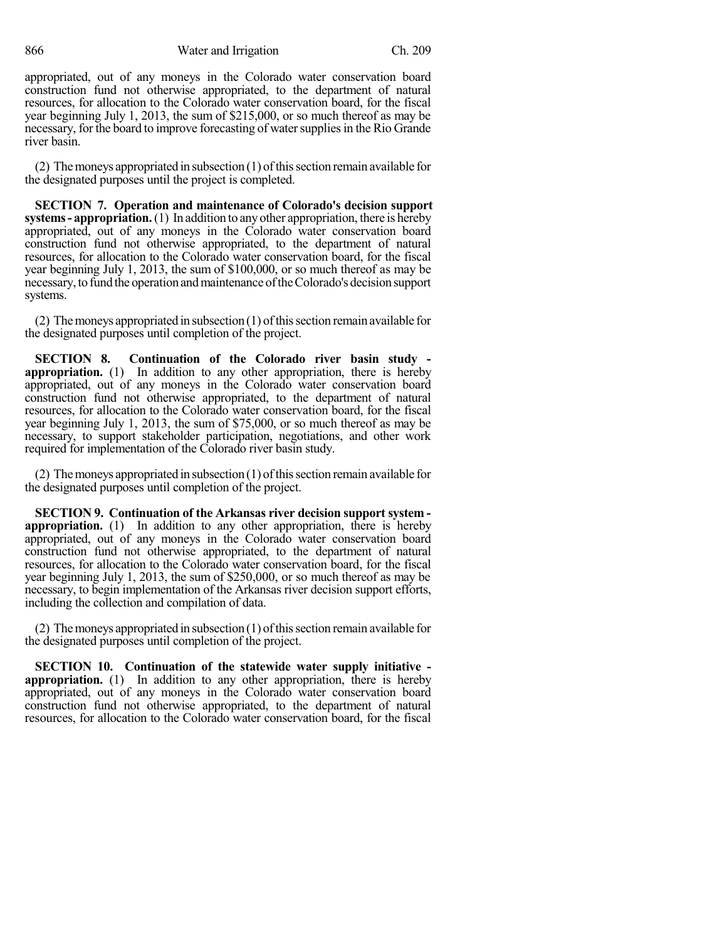866 Water and Irrigation Ch. 209

appropriated, out of any moneys in the Colorado water conservation board construction fund not otherwise appropriated, to the department of natural resources, for allocation to the Colorado water conservation board, for the fiscal year beginning July 1, 2013, the sum of \$215,000, or so much thereof as may be necessary, for the board to improve forecasting of water supplies in the Rio Grande river basin.

(2) The moneys appropriated in subsection  $(1)$  of this section remain available for the designated purposes until the project is completed.

**SECTION 7. Operation and maintenance of Colorado's decision support systems- appropriation.**(1) In addition to anyother appropriation, there is hereby appropriated, out of any moneys in the Colorado water conservation board construction fund not otherwise appropriated, to the department of natural resources, for allocation to the Colorado water conservation board, for the fiscal year beginning July 1, 2013, the sum of \$100,000, or so much thereof as may be necessary, to fund the operation and maintenance of the Colorado's decision support systems.

(2) The moneys appropriated in subsection  $(1)$  of this section remain available for the designated purposes until completion of the project.

**SECTION 8. Continuation of the Colorado river basin study appropriation.** (1) In addition to any other appropriation, there is hereby appropriated, out of any moneys in the Colorado water conservation board construction fund not otherwise appropriated, to the department of natural resources, for allocation to the Colorado water conservation board, for the fiscal year beginning July 1, 2013, the sum of \$75,000, or so much thereof as may be necessary, to support stakeholder participation, negotiations, and other work required for implementation of the Colorado river basin study.

(2) The moneys appropriated in subsection  $(1)$  of this section remain available for the designated purposes until completion of the project.

**SECTION 9. Continuation of the Arkansas river decision support system appropriation.** (1) In addition to any other appropriation, there is hereby appropriated, out of any moneys in the Colorado water conservation board construction fund not otherwise appropriated, to the department of natural resources, for allocation to the Colorado water conservation board, for the fiscal year beginning July 1, 2013, the sum of \$250,000, or so much thereof as may be necessary, to begin implementation of the Arkansas river decision support efforts, including the collection and compilation of data.

 $(2)$  The moneys appropriated in subsection  $(1)$  of this section remain available for the designated purposes until completion of the project.

**SECTION 10. Continuation of the statewide water supply initiative appropriation.** (1) In addition to any other appropriation, there is hereby appropriated, out of any moneys in the Colorado water conservation board construction fund not otherwise appropriated, to the department of natural resources, for allocation to the Colorado water conservation board, for the fiscal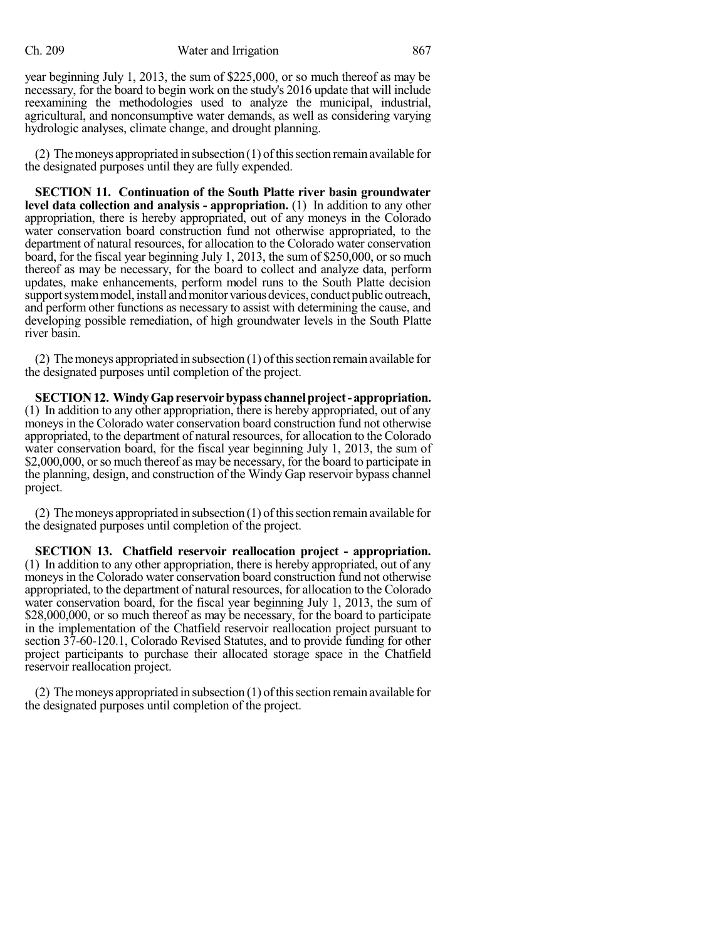year beginning July 1, 2013, the sum of \$225,000, or so much thereof as may be necessary, for the board to begin work on the study's 2016 update that will include reexamining the methodologies used to analyze the municipal, industrial, agricultural, and nonconsumptive water demands, as well as considering varying hydrologic analyses, climate change, and drought planning.

(2) The moneys appropriated in subsection  $(1)$  of this section remain available for the designated purposes until they are fully expended.

**SECTION 11. Continuation of the South Platte river basin groundwater level data collection and analysis - appropriation.** (1) In addition to any other appropriation, there is hereby appropriated, out of any moneys in the Colorado water conservation board construction fund not otherwise appropriated, to the department of natural resources, for allocation to the Colorado water conservation board, for the fiscal year beginning July 1, 2013, the sum of \$250,000, or so much thereof as may be necessary, for the board to collect and analyze data, perform updates, make enhancements, perform model runs to the South Platte decision support system model, install and monitor various devices, conduct public outreach, and perform other functions as necessary to assist with determining the cause, and developing possible remediation, of high groundwater levels in the South Platte river basin.

(2) The moneys appropriated in subsection  $(1)$  of this section remain available for the designated purposes until completion of the project.

**SECTION12. WindyGapreservoirbypass channelproject- appropriation.** (1) In addition to any other appropriation, there is hereby appropriated, out of any moneys in the Colorado water conservation board construction fund not otherwise appropriated, to the department of natural resources, for allocation to the Colorado water conservation board, for the fiscal year beginning July 1, 2013, the sum of \$2,000,000, or so much thereof as may be necessary, for the board to participate in the planning, design, and construction of the Windy Gap reservoir bypass channel project.

 $(2)$  The moneys appropriated in subsection  $(1)$  of this section remain available for the designated purposes until completion of the project.

**SECTION 13. Chatfield reservoir reallocation project - appropriation.** (1) In addition to any other appropriation, there is hereby appropriated, out of any moneys in the Colorado water conservation board construction fund not otherwise appropriated, to the department of natural resources, for allocation to the Colorado water conservation board, for the fiscal year beginning July 1, 2013, the sum of \$28,000,000, or so much thereof as may be necessary, for the board to participate in the implementation of the Chatfield reservoir reallocation project pursuant to section 37-60-120.1, Colorado Revised Statutes, and to provide funding for other project participants to purchase their allocated storage space in the Chatfield reservoir reallocation project.

 $(2)$  The moneys appropriated in subsection  $(1)$  of this section remain available for the designated purposes until completion of the project.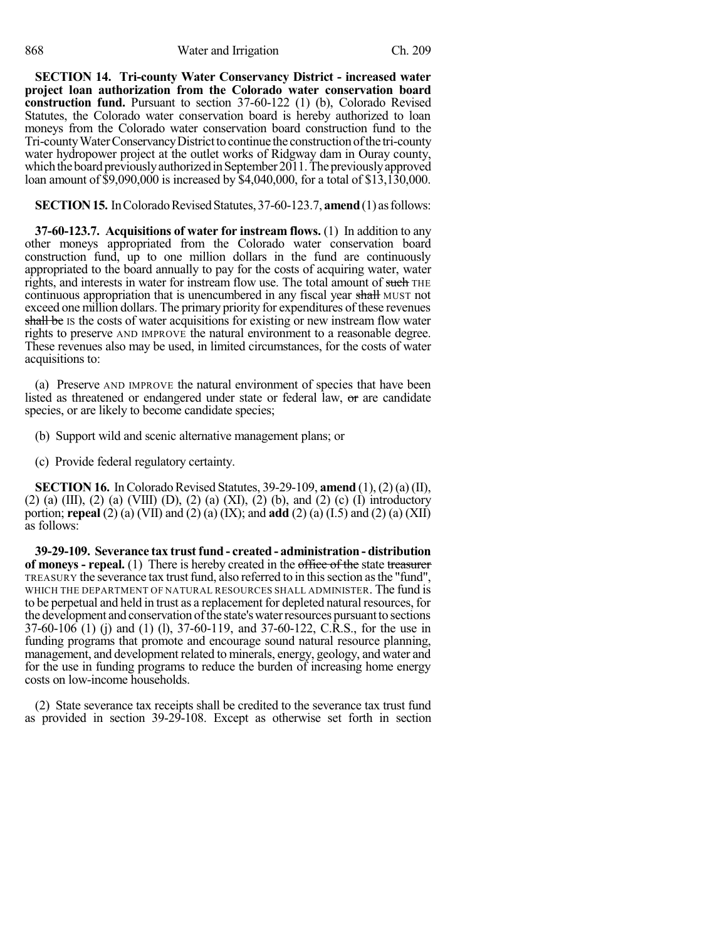**SECTION 14. Tri-county Water Conservancy District - increased water project loan authorization from the Colorado water conservation board construction fund.** Pursuant to section 37-60-122 (1) (b), Colorado Revised Statutes, the Colorado water conservation board is hereby authorized to loan moneys from the Colorado water conservation board construction fund to the Tri-county Water Conservancy District to continue the construction of the tri-county water hydropower project at the outlet works of Ridgway dam in Ouray county, which the board previously authorized in September 2011. The previously approved loan amount of \$9,090,000 is increased by \$4,040,000, for a total of \$13,130,000.

## **SECTION 15.** In Colorado Revised Statutes, 37-60-123.7, **amend** (1) as follows:

**37-60-123.7. Acquisitions of water for instream flows.** (1) In addition to any other moneys appropriated from the Colorado water conservation board construction fund, up to one million dollars in the fund are continuously appropriated to the board annually to pay for the costs of acquiring water, water rights, and interests in water for instream flow use. The total amount of such THE continuous appropriation that is unencumbered in any fiscal year shall MUST not exceed one million dollars. The primary priority for expenditures of these revenues shall be IS the costs of water acquisitions for existing or new instream flow water rights to preserve AND IMPROVE the natural environment to a reasonable degree. These revenues also may be used, in limited circumstances, for the costs of water acquisitions to:

(a) Preserve AND IMPROVE the natural environment of species that have been listed as threatened or endangered under state or federal law,  $\sigma$  are candidate species, or are likely to become candidate species;

(b) Support wild and scenic alternative management plans; or

(c) Provide federal regulatory certainty.

**SECTION 16.** In Colorado Revised Statutes, 39-29-109, **amend**  $(1)$ ,  $(2)$   $(a)$   $(II)$ ,  $(2)$  (a)  $(III)$ ,  $(2)$  (a)  $(VIII)$   $(D)$ ,  $(2)$  (a)  $(XI)$ ,  $(2)$  (b), and  $(2)$  (c)  $(I)$  introductory portion; **repeal** (2) (a) (VII) and (2) (a) (IX); and **add** (2) (a) (I.5) and (2) (a) (XII) as follows:

**39-29-109. Severance tax trust fund - created - administration - distribution of moneys - repeal.** (1) There is hereby created in the office of the state treasurer TREASURY the severance tax trust fund, also referred to in this section as the "fund", WHICH THE DEPARTMENT OF NATURAL RESOURCES SHALL ADMINISTER. The fund is to be perpetual and held in trust as a replacement for depleted natural resources, for the development and conservation of the state's water resources pursuant to sections 37-60-106 (1) (j) and (1) (l), 37-60-119, and 37-60-122, C.R.S., for the use in funding programs that promote and encourage sound natural resource planning, management, and development related to minerals, energy, geology, and water and for the use in funding programs to reduce the burden of increasing home energy costs on low-income households.

(2) State severance tax receipts shall be credited to the severance tax trust fund as provided in section 39-29-108. Except as otherwise set forth in section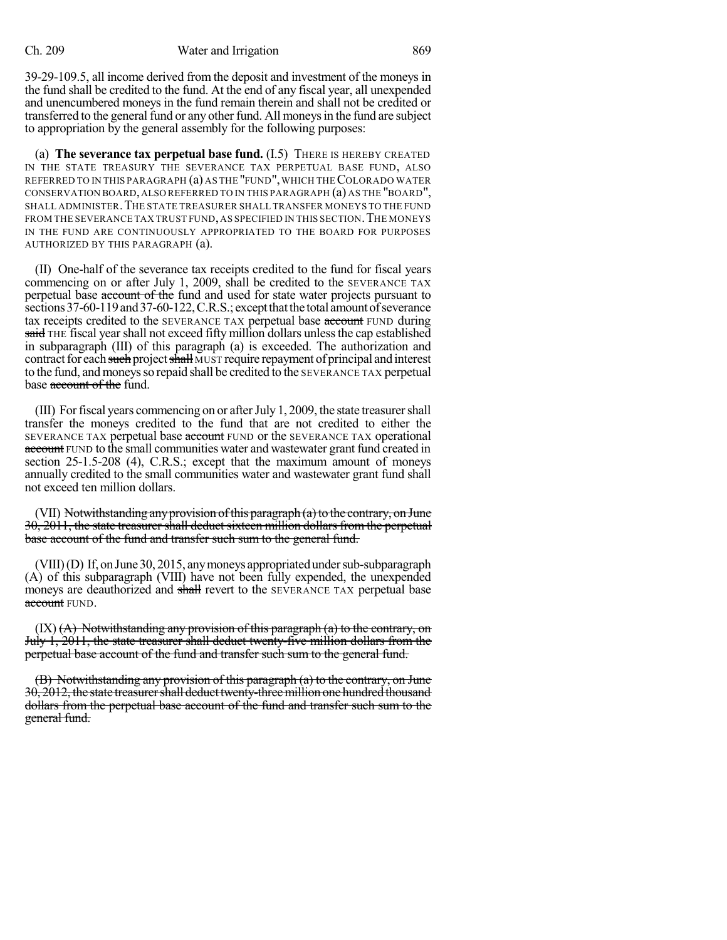39-29-109.5, all income derived from the deposit and investment of the moneys in the fund shall be credited to the fund. At the end of any fiscal year, all unexpended and unencumbered moneys in the fund remain therein and shall not be credited or transferred to the general fund or any other fund. All moneysin the fund are subject to appropriation by the general assembly for the following purposes:

(a) **The severance tax perpetual base fund.** (I.5) THERE IS HEREBY CREATED IN THE STATE TREASURY THE SEVERANCE TAX PERPETUAL BASE FUND, ALSO REFERRED TO IN THIS PARAGRAPH (a) AS THE "FUND", WHICH THE COLORADO WATER CONSERVATION BOARD,ALSO REFERRED TO IN THIS PARAGRAPH (a) AS THE "BOARD", SHALL ADMINISTER. THE STATE TREASURER SHALL TRANSFER MONEYS TO THE FUND FROM THE SEVERANCE TAX TRUST FUND, AS SPECIFIED IN THIS SECTION. THE MONEYS IN THE FUND ARE CONTINUOUSLY APPROPRIATED TO THE BOARD FOR PURPOSES AUTHORIZED BY THIS PARAGRAPH (a).

(II) One-half of the severance tax receipts credited to the fund for fiscal years commencing on or after July 1, 2009, shall be credited to the SEVERANCE TAX perpetual base account of the fund and used for state water projects pursuant to sections 37-60-119 and 37-60-122, C.R.S.; except that the total amount of severance tax receipts credited to the SEVERANCE TAX perpetual base account FUND during said THE fiscal year shall not exceed fifty million dollars unless the cap established in subparagraph (III) of this paragraph (a) is exceeded. The authorization and contract for each such project shall MUST require repayment of principal and interest to the fund, and moneys so repaid shall be credited to the SEVERANCE TAX perpetual base account of the fund.

(III) Forfiscal years commencing on or afterJuly 1, 2009, the state treasurershall transfer the moneys credited to the fund that are not credited to either the SEVERANCE TAX perpetual base account FUND or the SEVERANCE TAX operational account FUND to the small communities water and wastewater grant fund created in section 25-1.5-208 (4), C.R.S.; except that the maximum amount of moneys annually credited to the small communities water and wastewater grant fund shall not exceed ten million dollars.

(VII) Notwithstanding any provision of this paragraph (a) to the contrary, on June 30, 2011, the state treasurer shall deduct sixteen million dollars from the perpetual base account of the fund and transfer such sum to the general fund.

 $(VIII)(D)$  If, on June 30, 2015, any moneys appropriated under sub-subparagraph (A) of this subparagraph (VIII) have not been fully expended, the unexpended moneys are deauthorized and shall revert to the SEVERANCE TAX perpetual base account FUND.

 $(X)$   $(A)$  Notwithstanding any provision of this paragraph  $(a)$  to the contrary, on July 1, 2011, the state treasurer shall deduct twenty-five million dollars from the perpetual base account of the fund and transfer such sum to the general fund.

(B) Notwithstanding any provision of this paragraph (a) to the contrary, on June 30, 2012, the state treasurer shall deduct twenty-three million one hundred thousand dollars from the perpetual base account of the fund and transfer such sum to the general fund.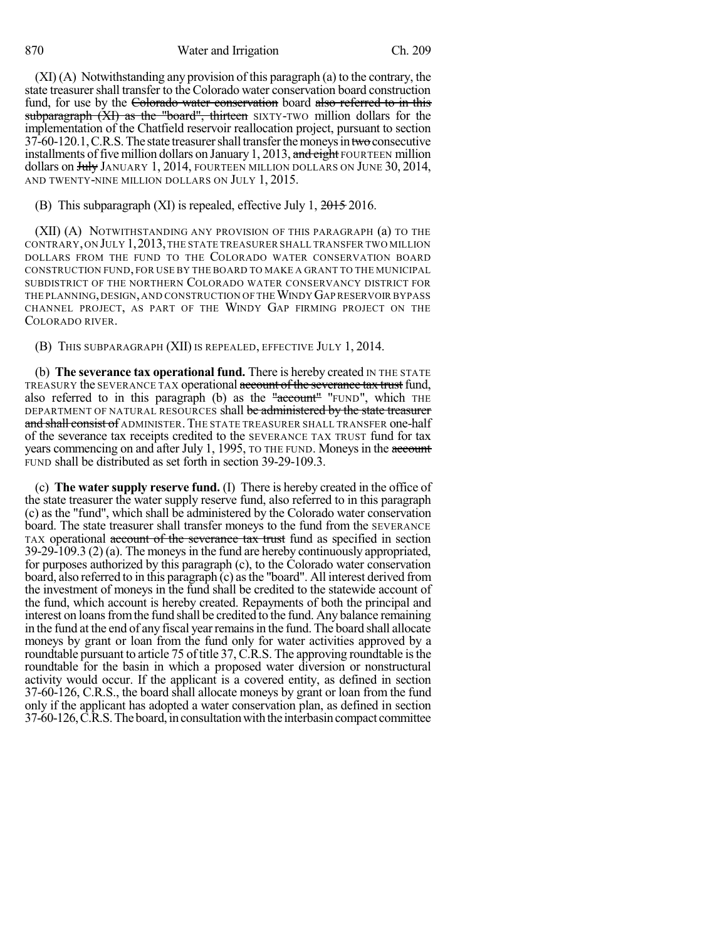870 Water and Irrigation Ch. 209

(XI) (A) Notwithstanding any provision of this paragraph (a) to the contrary, the state treasurershall transfer to the Colorado water conservation board construction fund, for use by the Colorado water conservation board also referred to in this subparagraph (XI) as the "board", thirteen SIXTY-TWO million dollars for the implementation of the Chatfield reservoir reallocation project, pursuant to section  $37-60-120.1$ , C.R.S. The state treasurer shall transfer the moneys in two consecutive installments of five million dollars on January 1, 2013, and eight FOURTEEN million dollars on July JANUARY 1, 2014, FOURTEEN MILLION DOLLARS ON JUNE 30, 2014, AND TWENTY-NINE MILLION DOLLARS ON JULY 1, 2015.

### (B) This subparagraph (XI) is repealed, effective July 1, 2015 2016.

(XII) (A) NOTWITHSTANDING ANY PROVISION OF THIS PARAGRAPH (a) TO THE CONTRARY,ON JULY 1,2013,THE STATE TREASURER SHALL TRANSFER TWO MILLION DOLLARS FROM THE FUND TO THE COLORADO WATER CONSERVATION BOARD CONSTRUCTION FUND, FOR USE BY THE BOARD TO MAKE A GRANT TO THE MUNICIPAL SUBDISTRICT OF THE NORTHERN COLORADO WATER CONSERVANCY DISTRICT FOR THE PLANNING, DESIGN, AND CONSTRUCTION OF THE WINDY GAP RESERVOIR BYPASS CHANNEL PROJECT, AS PART OF THE WINDY GAP FIRMING PROJECT ON THE COLORADO RIVER.

(B) THIS SUBPARAGRAPH (XII) IS REPEALED, EFFECTIVE JULY 1, 2014.

(b) **The severance tax operational fund.** There is hereby created IN THE STATE TREASURY the SEVERANCE TAX operational account of the severance tax trust fund, also referred to in this paragraph (b) as the "account" "FUND", which THE DEPARTMENT OF NATURAL RESOURCES shall be administered by the state treasurer and shall consist of ADMINISTER. THE STATE TREASURER SHALL TRANSFER one-half of the severance tax receipts credited to the SEVERANCE TAX TRUST fund for tax years commencing on and after July 1, 1995, TO THE FUND. Moneys in the account FUND shall be distributed as set forth in section 39-29-109.3.

(c) **The water supply reserve fund.** (I) There is hereby created in the office of the state treasurer the water supply reserve fund, also referred to in this paragraph (c) as the "fund", which shall be administered by the Colorado water conservation board. The state treasurer shall transfer moneys to the fund from the SEVERANCE TAX operational account of the severance tax trust fund as specified in section 39-29-109.3 (2) (a). The moneysin the fund are hereby continuously appropriated, for purposes authorized by this paragraph (c), to the Colorado water conservation board, also referred to in this paragraph (c) asthe "board". All interest derived from the investment of moneys in the fund shall be credited to the statewide account of the fund, which account is hereby created. Repayments of both the principal and interest on loans from the fund shall be credited to the fund. Any balance remaining in the fund at the end of any fiscal yearremainsin the fund. The board shall allocate moneys by grant or loan from the fund only for water activities approved by a roundtable pursuant to article 75 of title 37, C.R.S. The approving roundtable is the roundtable for the basin in which a proposed water diversion or nonstructural activity would occur. If the applicant is a covered entity, as defined in section 37-60-126, C.R.S., the board shall allocate moneys by grant or loan from the fund only if the applicant has adopted a water conservation plan, as defined in section 37-60-126, C.R.S. The board, in consultation with the interbasin compact committee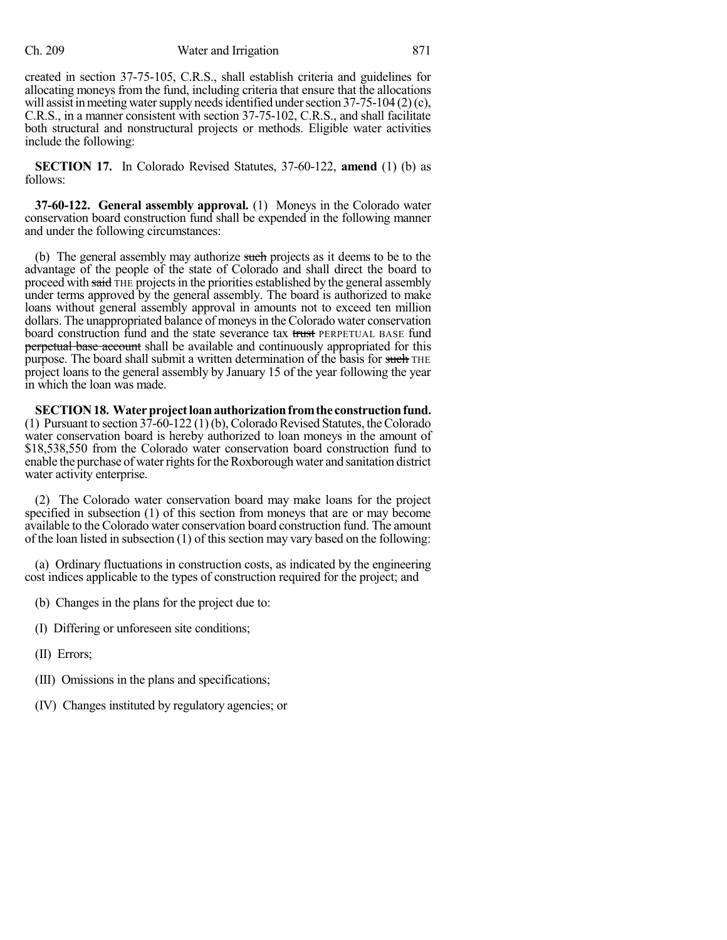created in section 37-75-105, C.R.S., shall establish criteria and guidelines for allocating moneys from the fund, including criteria that ensure that the allocations will assist in meeting water supply needs identified under section  $37-75-104$  (2)(c), C.R.S., in a manner consistent with section 37-75-102, C.R.S., and shall facilitate both structural and nonstructural projects or methods. Eligible water activities include the following:

**SECTION 17.** In Colorado Revised Statutes, 37-60-122, **amend** (1) (b) as follows:

**37-60-122. General assembly approval.** (1) Moneys in the Colorado water conservation board construction fund shall be expended in the following manner and under the following circumstances:

(b) The general assembly may authorize such projects as it deems to be to the advantage of the people of the state of Colorado and shall direct the board to proceed with said THE projects in the priorities established by the general assembly under terms approved by the general assembly. The board is authorized to make loans without general assembly approval in amounts not to exceed ten million dollars. The unappropriated balance of moneys in the Colorado water conservation board construction fund and the state severance tax trust PERPETUAL BASE fund perpetual base account shall be available and continuously appropriated for this purpose. The board shall submit a written determination of the basis for such THE project loans to the general assembly by January 15 of the year following the year in which the loan was made.

**SECTION 18.** Water project loan authorization from the construction fund. (1) Pursuant to section  $37-60-122$  (1) (b), Colorado Revised Statutes, the Colorado water conservation board is hereby authorized to loan moneys in the amount of \$18,538,550 from the Colorado water conservation board construction fund to enable the purchase of water rights for the Roxborough water and sanitation district water activity enterprise.

(2) The Colorado water conservation board may make loans for the project specified in subsection (1) of this section from moneys that are or may become available to the Colorado water conservation board construction fund. The amount of the loan listed in subsection (1) of this section may vary based on the following:

(a) Ordinary fluctuations in construction costs, as indicated by the engineering cost indices applicable to the types of construction required for the project; and

- (b) Changes in the plans for the project due to:
- (I) Differing or unforeseen site conditions;
- (II) Errors;
- (III) Omissions in the plans and specifications;
- (IV) Changes instituted by regulatory agencies; or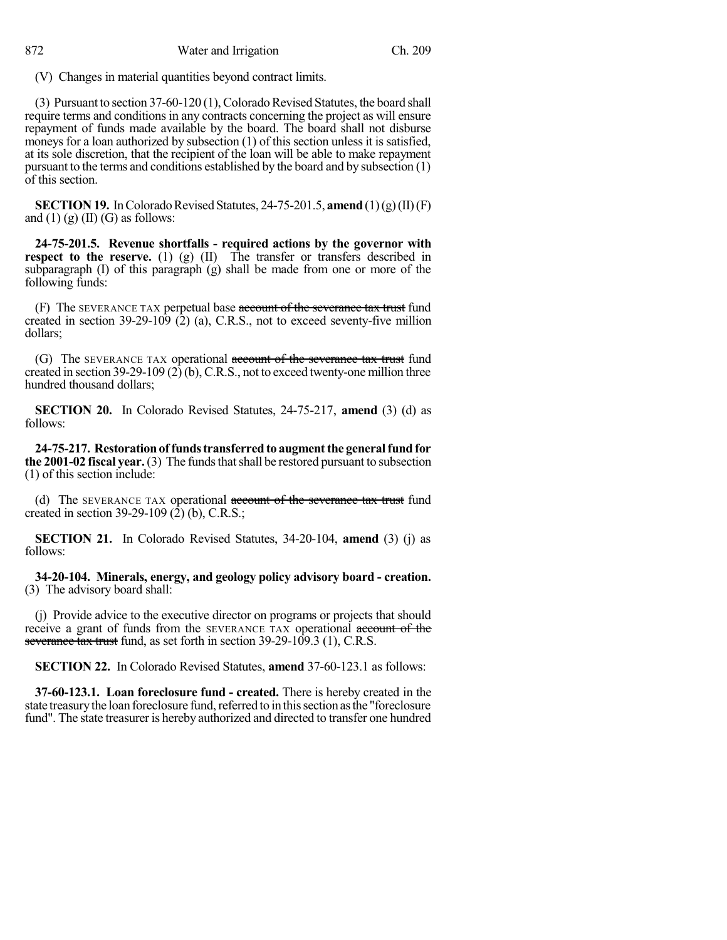(V) Changes in material quantities beyond contract limits.

(3) Pursuant to section 37-60-120 (1),ColoradoRevised Statutes, the board shall require terms and conditions in any contracts concerning the project as will ensure repayment of funds made available by the board. The board shall not disburse moneys for a loan authorized by subsection (1) of this section unless it is satisfied, at its sole discretion, that the recipient of the loan will be able to make repayment pursuant to the terms and conditions established by the board and by subsection (1) of this section.

**SECTION 19.** In Colorado Revised Statutes, 24-75-201.5, **amend**  $(1)(g)(II)(F)$ and  $(1)$   $(g)$   $(II)$   $(G)$  as follows:

**24-75-201.5. Revenue shortfalls - required actions by the governor with respect to the reserve.** (1) (g) (II) The transfer or transfers described in subparagraph  $(I)$  of this paragraph  $(g)$  shall be made from one or more of the following funds:

(F) The SEVERANCE TAX perpetual base account of the severance tax trust fund created in section  $39-29-109$  (2) (a), C.R.S., not to exceed seventy-five million dollars;

(G) The SEVERANCE TAX operational account of the severance tax trust fund created in section 39-29-109 (2) (b), C.R.S., not to exceed twenty-one million three hundred thousand dollars;

**SECTION 20.** In Colorado Revised Statutes, 24-75-217, **amend** (3) (d) as follows:

**24-75-217. Restorationof fundstransferredto augmentthe generalfund for the 2001-02 fiscal year.** (3) The funds that shall be restored pursuant to subsection (1) of this section include:

(d) The SEVERANCE TAX operational account of the severance tax trust fund created in section 39-29-109 (2) (b), C.R.S.;

**SECTION 21.** In Colorado Revised Statutes, 34-20-104, **amend** (3) (j) as follows:

**34-20-104. Minerals, energy, and geology policy advisory board - creation.** (3) The advisory board shall:

(j) Provide advice to the executive director on programs or projects that should receive a grant of funds from the SEVERANCE TAX operational account of the severance tax trust fund, as set forth in section 39-29-109.3 (1), C.R.S.

**SECTION 22.** In Colorado Revised Statutes, **amend** 37-60-123.1 as follows:

**37-60-123.1. Loan foreclosure fund - created.** There is hereby created in the state treasury the loan foreclosure fund, referred to in this section as the "foreclosure fund". The state treasurer is hereby authorized and directed to transfer one hundred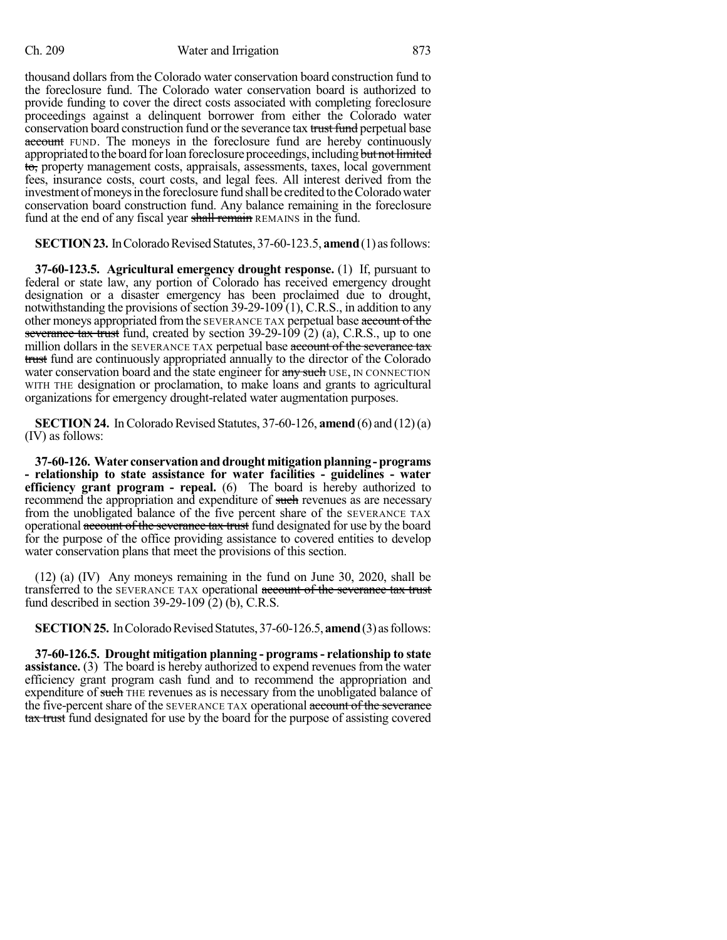thousand dollars from the Colorado water conservation board construction fund to the foreclosure fund. The Colorado water conservation board is authorized to provide funding to cover the direct costs associated with completing foreclosure proceedings against a delinquent borrower from either the Colorado water conservation board construction fund or the severance tax trust fund perpetual base account FUND. The moneys in the foreclosure fund are hereby continuously appropriated to the board for loan foreclosure proceedings, including but not limited to, property management costs, appraisals, assessments, taxes, local government fees, insurance costs, court costs, and legal fees. All interest derived from the investment of moneys in the foreclosure fund shall be credited to the Colorado water conservation board construction fund. Any balance remaining in the foreclosure fund at the end of any fiscal year shall remain REMAINS in the fund.

**SECTION 23.** In Colorado Revised Statutes, 37-60-123.5, **amend** (1) as follows:

**37-60-123.5. Agricultural emergency drought response.** (1) If, pursuant to federal or state law, any portion of Colorado has received emergency drought designation or a disaster emergency has been proclaimed due to drought, notwithstanding the provisions of section  $39-29-109(1)$ , C.R.S., in addition to any other moneys appropriated from the SEVERANCE TAX perpetual base account of the severance tax trust fund, created by section  $39-29-109$  (2) (a), C.R.S., up to one million dollars in the SEVERANCE TAX perpetual base account of the severance tax trust fund are continuously appropriated annually to the director of the Colorado water conservation board and the state engineer for any such USE, IN CONNECTION WITH THE designation or proclamation, to make loans and grants to agricultural organizations for emergency drought-related water augmentation purposes.

**SECTION 24.** In Colorado Revised Statutes, 37-60-126, **amend** (6) and (12) (a) (IV) as follows:

**37-60-126. Water conservationanddroughtmitigationplanning-programs - relationship to state assistance for water facilities - guidelines - water efficiency grant program - repeal.** (6) The board is hereby authorized to recommend the appropriation and expenditure of such revenues as are necessary from the unobligated balance of the five percent share of the SEVERANCE TAX operational account of the severance tax trust fund designated for use by the board for the purpose of the office providing assistance to covered entities to develop water conservation plans that meet the provisions of this section.

(12) (a) (IV) Any moneys remaining in the fund on June 30, 2020, shall be transferred to the SEVERANCE TAX operational account of the severance tax trust fund described in section  $39-29-109$  (2) (b), C.R.S.

**SECTION 25.** In Colorado Revised Statutes, 37-60-126.5, **amend** (3) as follows:

**37-60-126.5. Drought mitigation planning - programs- relationship to state assistance.** (3) The board is hereby authorized to expend revenues from the water efficiency grant program cash fund and to recommend the appropriation and expenditure of such THE revenues as is necessary from the unobligated balance of the five-percent share of the SEVERANCE TAX operational account of the severance tax trust fund designated for use by the board for the purpose of assisting covered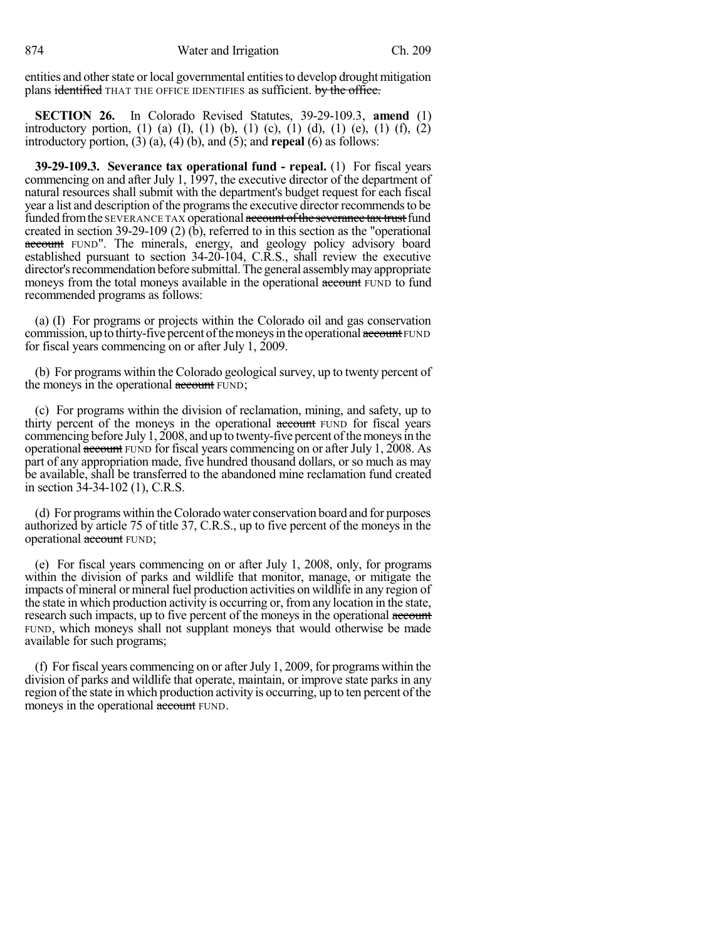entities and other state or local governmental entities to develop drought mitigation plans identified THAT THE OFFICE IDENTIFIES as sufficient. by the office.

**SECTION 26.** In Colorado Revised Statutes, 39-29-109.3, **amend** (1) introductory portion, (1) (a) (I), (1) (b), (1) (c), (1) (d), (1) (e), (1) (f), (2) introductory portion, (3) (a), (4) (b), and (5); and **repeal** (6) as follows:

**39-29-109.3. Severance tax operational fund - repeal.** (1) For fiscal years commencing on and after July 1, 1997, the executive director of the department of natural resources shall submit with the department's budget request for each fiscal year a list and description of the programs the executive director recommends to be funded from the SEVERANCE TAX operational account of the severance tax trust fund created in section 39-29-109 (2) (b), referred to in this section as the "operational account FUND". The minerals, energy, and geology policy advisory board established pursuant to section 34-20-104, C.R.S., shall review the executive director's recommendation before submittal. The general assembly may appropriate moneys from the total moneys available in the operational account FUND to fund recommended programs as follows:

(a) (I) For programs or projects within the Colorado oil and gas conservation commission, up to thirty-five percent of the moneys in the operational account FUND for fiscal years commencing on or after July 1, 2009.

(b) For programs within the Colorado geological survey, up to twenty percent of the moneys in the operational account FUND;

(c) For programs within the division of reclamation, mining, and safety, up to thirty percent of the moneys in the operational account FUND for fiscal years commencing before July 1, 2008, and up to twenty-five percent of the moneys in the operational account FUND for fiscal years commencing on or after July 1, 2008. As part of any appropriation made, five hundred thousand dollars, or so much as may be available, shall be transferred to the abandoned mine reclamation fund created in section 34-34-102 (1), C.R.S.

(d) For programs within theColorado water conservation board and for purposes authorized by article 75 of title 37, C.R.S., up to five percent of the moneys in the operational account FUND;

(e) For fiscal years commencing on or after July 1, 2008, only, for programs within the division of parks and wildlife that monitor, manage, or mitigate the impacts of mineral or mineral fuel production activities on wildlife in any region of the state in which production activity is occurring or, fromany location in the state, research such impacts, up to five percent of the moneys in the operational account FUND, which moneys shall not supplant moneys that would otherwise be made available for such programs;

(f) For fiscal years commencing on or after July 1, 2009, for programs within the division of parks and wildlife that operate, maintain, or improve state parks in any region of the state in which production activity is occurring, up to ten percent of the moneys in the operational account FUND.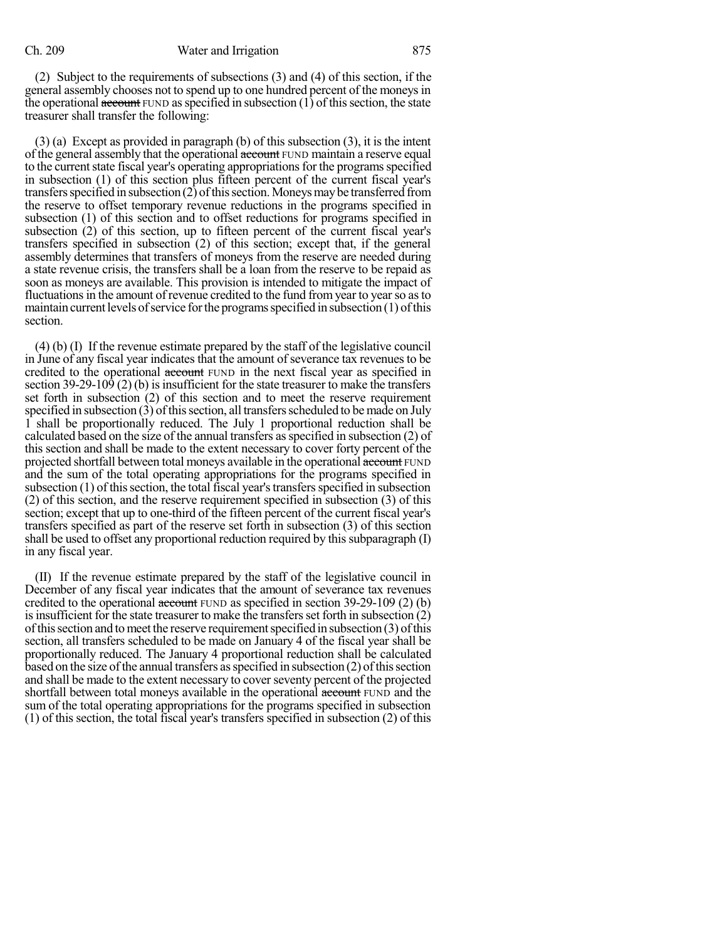(2) Subject to the requirements of subsections (3) and (4) of this section, if the general assembly chooses not to spend up to one hundred percent of the moneysin the operational  $\frac{a\cdot\}{b}$  FUND as specified in subsection (1) of this section, the state treasurer shall transfer the following:

(3) (a) Except as provided in paragraph (b) of this subsection (3), it is the intent of the general assembly that the operational account FUND maintain a reserve equal to the current state fiscal year's operating appropriations for the programs specified in subsection (1) of this section plus fifteen percent of the current fiscal year's transfers specified in subsection  $(2)$  of this section. Moneys may be transferred from the reserve to offset temporary revenue reductions in the programs specified in subsection (1) of this section and to offset reductions for programs specified in subsection (2) of this section, up to fifteen percent of the current fiscal year's transfers specified in subsection (2) of this section; except that, if the general assembly determines that transfers of moneys from the reserve are needed during a state revenue crisis, the transfers shall be a loan from the reserve to be repaid as soon as moneys are available. This provision is intended to mitigate the impact of fluctuations in the amount of revenue credited to the fund from year to year so as to maintain current levels of service for the programs specified in subsection  $(1)$  of this section.

(4) (b) (I) If the revenue estimate prepared by the staff of the legislative council in June of any fiscal year indicates that the amount of severance tax revenues to be credited to the operational account FUND in the next fiscal year as specified in section 39-29-109 (2) (b) is insufficient for the state treasurer to make the transfers set forth in subsection (2) of this section and to meet the reserve requirement specified in subsection  $(3)$  of this section, all transfers scheduled to be made on July 1 shall be proportionally reduced. The July 1 proportional reduction shall be calculated based on the size of the annual transfers asspecified in subsection (2) of this section and shall be made to the extent necessary to cover forty percent of the projected shortfall between total moneys available in the operational account FUND and the sum of the total operating appropriations for the programs specified in subsection  $(1)$  of this section, the total fiscal year's transfers specified in subsection (2) of this section, and the reserve requirement specified in subsection (3) of this section; except that up to one-third of the fifteen percent of the current fiscal year's transfers specified as part of the reserve set forth in subsection (3) of this section shall be used to offset any proportional reduction required by this subparagraph  $(I)$ in any fiscal year.

(II) If the revenue estimate prepared by the staff of the legislative council in December of any fiscal year indicates that the amount of severance tax revenues credited to the operational account FUND as specified in section 39-29-109 (2) (b) is insufficient for the state treasurer to make the transfers set forth in subsection  $(2)$ of this section and to meet the reserve requirement specified in subsection  $(3)$  of this section, all transfers scheduled to be made on January 4 of the fiscal year shall be proportionally reduced. The January 4 proportional reduction shall be calculated based on the size of the annual transfers as specified in subsection  $(2)$  of this section and shall be made to the extent necessary to cover seventy percent of the projected shortfall between total moneys available in the operational account FUND and the sum of the total operating appropriations for the programs specified in subsection (1) of this section, the total fiscal year's transfers specified in subsection (2) of this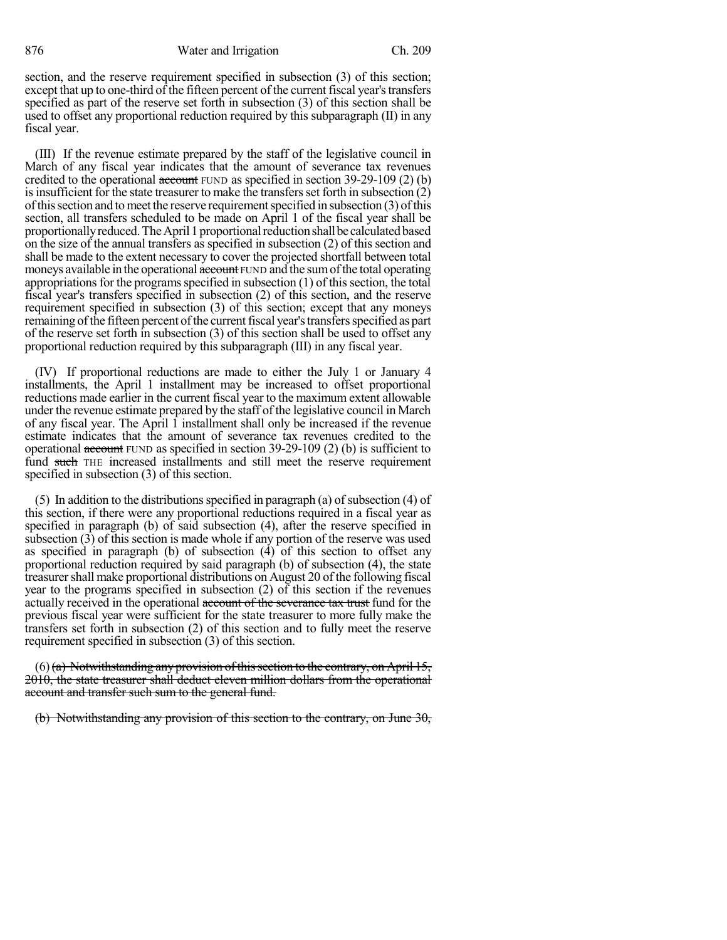876 Water and Irrigation Ch. 209

section, and the reserve requirement specified in subsection (3) of this section; except that up to one-third of the fifteen percent of the current fiscal year's transfers specified as part of the reserve set forth in subsection (3) of this section shall be used to offset any proportional reduction required by this subparagraph (II) in any fiscal year.

(III) If the revenue estimate prepared by the staff of the legislative council in March of any fiscal year indicates that the amount of severance tax revenues credited to the operational  $\frac{1}{\text{second}}$  FUND as specified in section 39-29-109 (2) (b) is insufficient for the state treasurer to make the transfers set forth in subsection  $(2)$ ofthissection and tomeet the reserve requirementspecified in subsection (3) ofthis section, all transfers scheduled to be made on April 1 of the fiscal year shall be proportionallyreduced.TheApril1proportionalreductionshallbe calculatedbased on the size of the annual transfers as specified in subsection (2) of this section and shall be made to the extent necessary to cover the projected shortfall between total moneys available in the operational account FUND and the sum of the total operating appropriations for the programs specified in subsection  $(1)$  of this section, the total fiscal year's transfers specified in subsection (2) of this section, and the reserve requirement specified in subsection (3) of this section; except that any moneys remaining of the fifteen percent of the current fiscal year's transfers specified as part of the reserve set forth in subsection (3) of this section shall be used to offset any proportional reduction required by this subparagraph (III) in any fiscal year.

(IV) If proportional reductions are made to either the July 1 or January 4 installments, the April 1 installment may be increased to offset proportional reductions made earlier in the current fiscal year to the maximum extent allowable under the revenue estimate prepared by the staff of the legislative council in March of any fiscal year. The April 1 installment shall only be increased if the revenue estimate indicates that the amount of severance tax revenues credited to the operational account FUND as specified in section 39-29-109 (2) (b) is sufficient to fund such THE increased installments and still meet the reserve requirement specified in subsection (3) of this section.

 $(5)$  In addition to the distributions specified in paragraph (a) of subsection  $(4)$  of this section, if there were any proportional reductions required in a fiscal year as specified in paragraph (b) of said subsection (4), after the reserve specified in subsection (3) of this section is made whole if any portion of the reserve was used as specified in paragraph (b) of subsection (4) of this section to offset any proportional reduction required by said paragraph (b) of subsection (4), the state treasurershall make proportional distributions on August 20 of the following fiscal year to the programs specified in subsection (2) of this section if the revenues actually received in the operational account of the severance tax trust fund for the previous fiscal year were sufficient for the state treasurer to more fully make the transfers set forth in subsection (2) of this section and to fully meet the reserve requirement specified in subsection (3) of this section.

 $(6)$  (a) Notwithstanding any provision of this section to the contrary, on April 15, 2010, the state treasurer shall deduct eleven million dollars from the operational account and transfer such sum to the general fund.

(b) Notwithstanding any provision of this section to the contrary, on June 30,